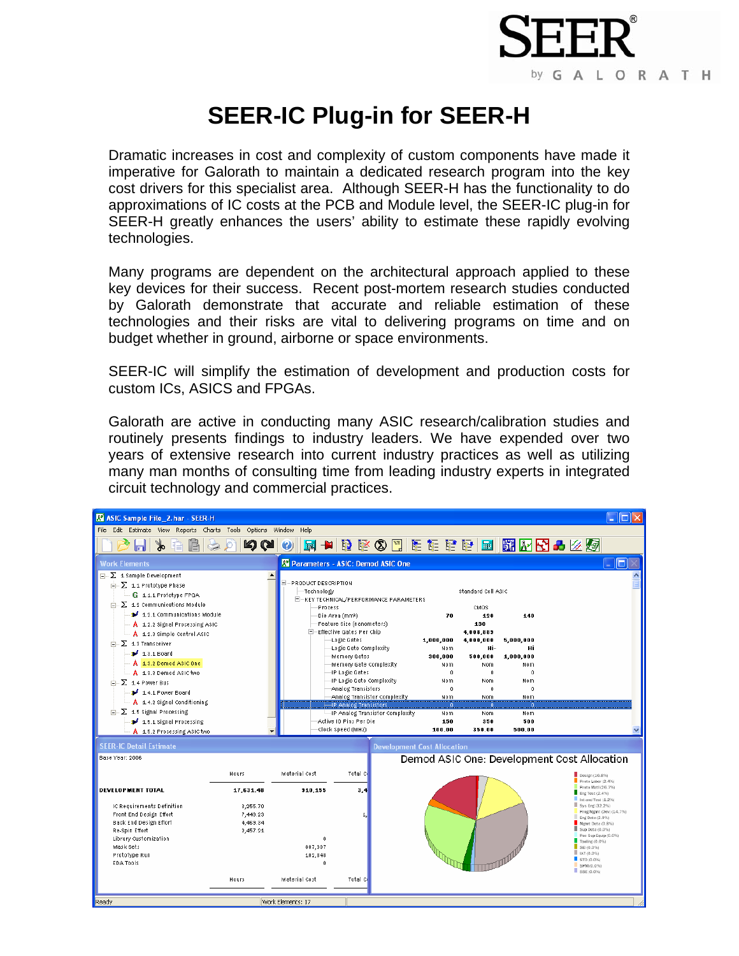

## **SEER-IC Plug-in for SEER-H**

Dramatic increases in cost and complexity of custom components have made it imperative for Galorath to maintain a dedicated research program into the key cost drivers for this specialist area. Although SEER-H has the functionality to do approximations of IC costs at the PCB and Module level, the SEER-IC plug-in for SEER-H greatly enhances the users' ability to estimate these rapidly evolving technologies.

Many programs are dependent on the architectural approach applied to these key devices for their success. Recent post-mortem research studies conducted by Galorath demonstrate that accurate and reliable estimation of these technologies and their risks are vital to delivering programs on time and on budget whether in ground, airborne or space environments.

SEER-IC will simplify the estimation of development and production costs for custom ICs, ASICS and FPGAs.

Galorath are active in conducting many ASIC research/calibration studies and routinely presents findings to industry leaders. We have expended over two years of extensive research into current industry practices as well as utilizing many man months of consulting time from leading industry experts in integrated circuit technology and commercial practices.